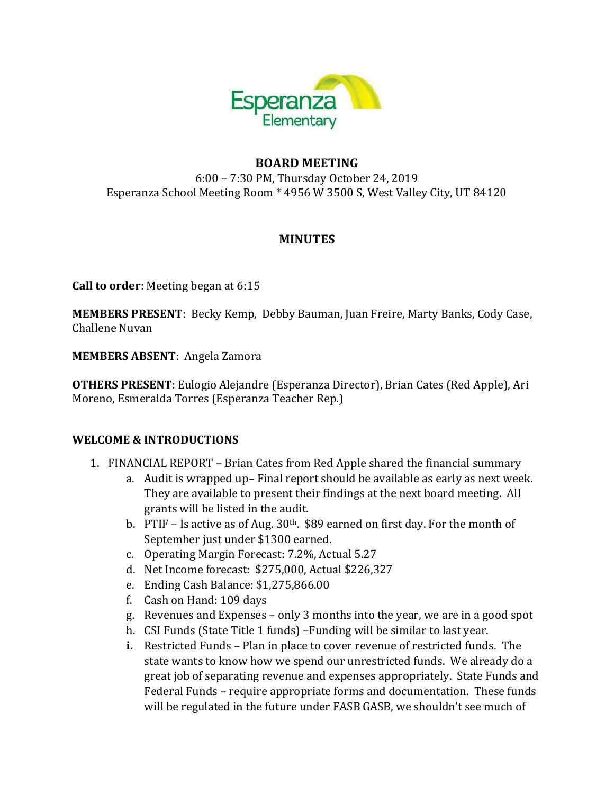

## **BOARD MEETING**

6:00 – 7:30 PM, Thursday October 24, 2019 Esperanza School Meeting Room \* 4956 W 3500 S, West Valley City, UT 84120

### **MINUTES**

**Call to order**: Meeting began at 6:15

**MEMBERS PRESENT**: Becky Kemp, Debby Bauman, Juan Freire, Marty Banks, Cody Case, Challene Nuvan

**MEMBERS ABSENT**: Angela Zamora

**OTHERS PRESENT**: Eulogio Alejandre (Esperanza Director), Brian Cates (Red Apple), Ari Moreno, Esmeralda Torres (Esperanza Teacher Rep.)

### **WELCOME & INTRODUCTIONS**

- 1. FINANCIAL REPORT Brian Cates from Red Apple shared the financial summary
	- a. Audit is wrapped up– Final report should be available as early as next week. They are available to present their findings at the next board meeting. All grants will be listed in the audit.
	- b. PTIF Is active as of Aug.  $30<sup>th</sup>$ . \$89 earned on first day. For the month of September just under \$1300 earned.
	- c. Operating Margin Forecast: 7.2%, Actual 5.27
	- d. Net Income forecast: \$275,000, Actual \$226,327
	- e. Ending Cash Balance: \$1,275,866.00
	- f. Cash on Hand: 109 days
	- g. Revenues and Expenses only 3 months into the year, we are in a good spot
	- h. CSI Funds (State Title 1 funds) –Funding will be similar to last year.
	- **i.** Restricted Funds Plan in place to cover revenue of restricted funds. The state wants to know how we spend our unrestricted funds. We already do a great job of separating revenue and expenses appropriately. State Funds and Federal Funds – require appropriate forms and documentation. These funds will be regulated in the future under FASB GASB, we shouldn't see much of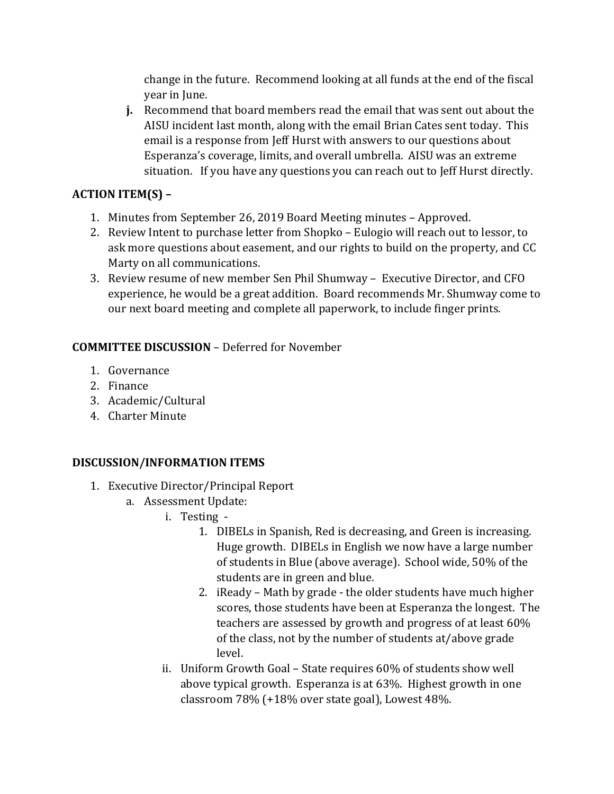change in the future. Recommend looking at all funds at the end of the fiscal year in June.

**j.** Recommend that board members read the email that was sent out about the AISU incident last month, along with the email Brian Cates sent today. This email is a response from Jeff Hurst with answers to our questions about Esperanza's coverage, limits, and overall umbrella. AISU was an extreme situation. If you have any questions you can reach out to Jeff Hurst directly.

# **ACTION ITEM(S) –**

- 1. Minutes from September 26, 2019 Board Meeting minutes Approved.
- 2. Review Intent to purchase letter from Shopko Eulogio will reach out to lessor, to ask more questions about easement, and our rights to build on the property, and CC Marty on all communications.
- 3. Review resume of new member Sen Phil Shumway Executive Director, and CFO experience, he would be a great addition. Board recommends Mr. Shumway come to our next board meeting and complete all paperwork, to include finger prints.

## **COMMITTEE DISCUSSION** – Deferred for November

- 1. Governance
- 2. Finance
- 3. Academic/Cultural
- 4. Charter Minute

## **DISCUSSION/INFORMATION ITEMS**

- 1. Executive Director/Principal Report
	- a. Assessment Update:
		- i. Testing
			- 1. DIBELs in Spanish, Red is decreasing, and Green is increasing. Huge growth. DIBELs in English we now have a large number of students in Blue (above average). School wide, 50% of the students are in green and blue.
			- 2. iReady Math by grade the older students have much higher scores, those students have been at Esperanza the longest. The teachers are assessed by growth and progress of at least 60% of the class, not by the number of students at/above grade level.
		- ii. Uniform Growth Goal State requires 60% of students show well above typical growth. Esperanza is at 63%. Highest growth in one classroom 78% (+18% over state goal), Lowest 48%.